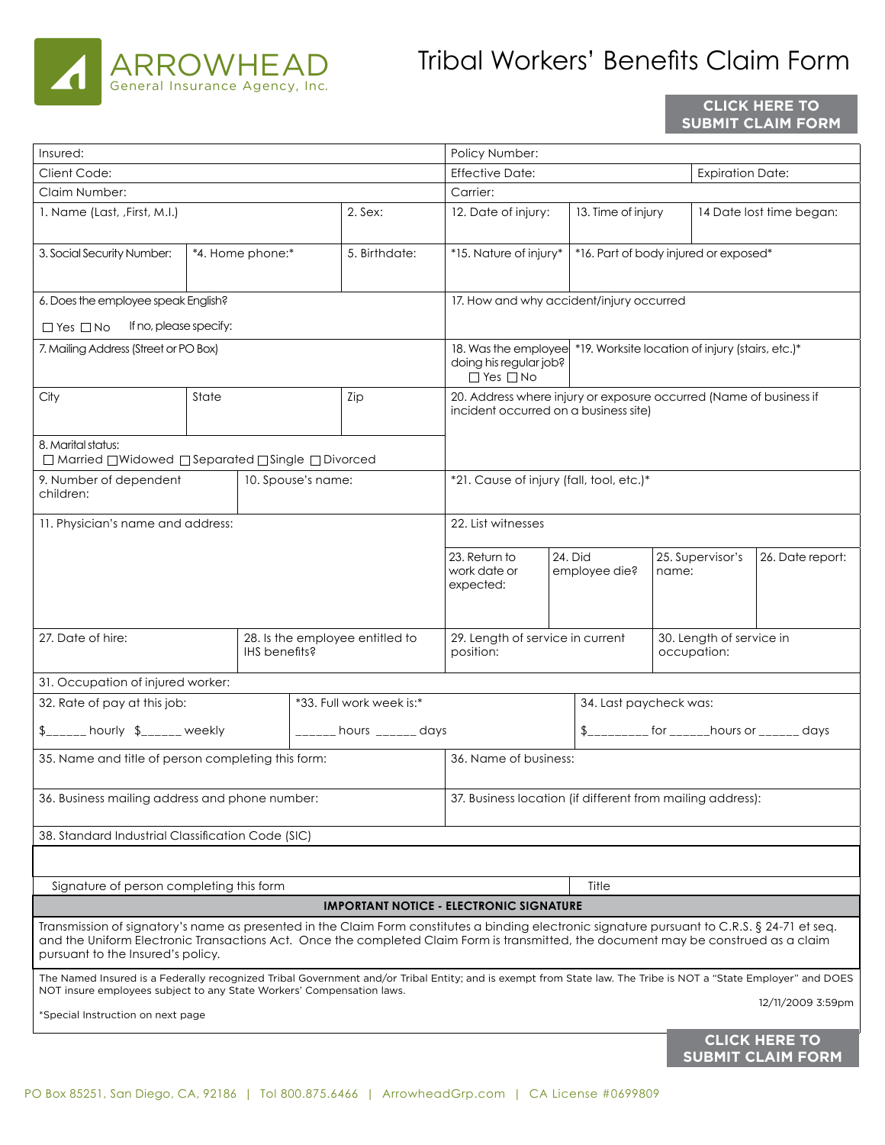

## Tribal Workers' Benefts Claim Form

## **CLICK HERE TO SUBMIT CLAIM FORM**

| Insured:                                                                                                                                                                 |                                                  |  |               |                                                                 | Policy Number:                                                                                                          |                        |                        |                                                                                                                                                                                                                                                                                                           |                          |                          |  |
|--------------------------------------------------------------------------------------------------------------------------------------------------------------------------|--------------------------------------------------|--|---------------|-----------------------------------------------------------------|-------------------------------------------------------------------------------------------------------------------------|------------------------|------------------------|-----------------------------------------------------------------------------------------------------------------------------------------------------------------------------------------------------------------------------------------------------------------------------------------------------------|--------------------------|--------------------------|--|
| Client Code:                                                                                                                                                             |                                                  |  |               |                                                                 | <b>Effective Date:</b>                                                                                                  |                        |                        |                                                                                                                                                                                                                                                                                                           | <b>Expiration Date:</b>  |                          |  |
| Claim Number:                                                                                                                                                            |                                                  |  |               |                                                                 | Carrier:                                                                                                                |                        |                        |                                                                                                                                                                                                                                                                                                           |                          |                          |  |
| 1. Name (Last, , First, M.I.)                                                                                                                                            |                                                  |  |               | $2.$ Sex:                                                       | 12. Date of injury:<br>13. Time of injury                                                                               |                        |                        |                                                                                                                                                                                                                                                                                                           | 14 Date lost time began: |                          |  |
|                                                                                                                                                                          |                                                  |  |               |                                                                 |                                                                                                                         |                        |                        |                                                                                                                                                                                                                                                                                                           |                          |                          |  |
| 3. Social Security Number:<br>*4. Home phone:*                                                                                                                           |                                                  |  | 5. Birthdate: | *15. Nature of injury*<br>*16. Part of body injured or exposed* |                                                                                                                         |                        |                        |                                                                                                                                                                                                                                                                                                           |                          |                          |  |
|                                                                                                                                                                          |                                                  |  |               |                                                                 |                                                                                                                         |                        |                        |                                                                                                                                                                                                                                                                                                           |                          |                          |  |
| 6. Does the employee speak English?                                                                                                                                      | 17. How and why accident/injury occurred         |  |               |                                                                 |                                                                                                                         |                        |                        |                                                                                                                                                                                                                                                                                                           |                          |                          |  |
| If no, please specify:<br>$\Box$ Yes $\Box$ No                                                                                                                           |                                                  |  |               |                                                                 |                                                                                                                         |                        |                        |                                                                                                                                                                                                                                                                                                           |                          |                          |  |
| 7. Mailing Address (Street or PO Box)                                                                                                                                    |                                                  |  |               |                                                                 | 18. Was the employee *19. Worksite location of injury (stairs, etc.)*<br>doing his regular job?<br>$\Box$ Yes $\Box$ No |                        |                        |                                                                                                                                                                                                                                                                                                           |                          |                          |  |
|                                                                                                                                                                          |                                                  |  |               |                                                                 |                                                                                                                         |                        |                        |                                                                                                                                                                                                                                                                                                           |                          |                          |  |
| City                                                                                                                                                                     | State                                            |  |               | Zip                                                             | 20. Address where injury or exposure occurred (Name of business if                                                      |                        |                        |                                                                                                                                                                                                                                                                                                           |                          |                          |  |
|                                                                                                                                                                          |                                                  |  |               |                                                                 | incident occurred on a business site)                                                                                   |                        |                        |                                                                                                                                                                                                                                                                                                           |                          |                          |  |
|                                                                                                                                                                          |                                                  |  |               |                                                                 |                                                                                                                         |                        |                        |                                                                                                                                                                                                                                                                                                           |                          |                          |  |
| 8. Marital status:<br>□ Married □ Widowed □ Separated □ Single □ Divorced                                                                                                |                                                  |  |               |                                                                 |                                                                                                                         |                        |                        |                                                                                                                                                                                                                                                                                                           |                          |                          |  |
| 9. Number of dependent<br>10. Spouse's name:                                                                                                                             |                                                  |  |               |                                                                 | *21. Cause of injury (fall, tool, etc.)*                                                                                |                        |                        |                                                                                                                                                                                                                                                                                                           |                          |                          |  |
| children:                                                                                                                                                                |                                                  |  |               |                                                                 |                                                                                                                         |                        |                        |                                                                                                                                                                                                                                                                                                           |                          |                          |  |
| 11. Physician's name and address:                                                                                                                                        |                                                  |  |               |                                                                 | 22. List witnesses                                                                                                      |                        |                        |                                                                                                                                                                                                                                                                                                           |                          |                          |  |
|                                                                                                                                                                          |                                                  |  |               |                                                                 |                                                                                                                         |                        |                        |                                                                                                                                                                                                                                                                                                           |                          |                          |  |
|                                                                                                                                                                          |                                                  |  |               | 23. Return to<br>work date or                                   | 24. Did                                                                                                                 | employee die?<br>name: |                        | 25. Supervisor's                                                                                                                                                                                                                                                                                          | 26. Date report:         |                          |  |
|                                                                                                                                                                          |                                                  |  |               |                                                                 | expected:                                                                                                               |                        |                        |                                                                                                                                                                                                                                                                                                           |                          |                          |  |
|                                                                                                                                                                          |                                                  |  |               |                                                                 |                                                                                                                         |                        |                        |                                                                                                                                                                                                                                                                                                           |                          |                          |  |
| 27. Date of hire:                                                                                                                                                        |                                                  |  |               |                                                                 | 29. Length of service in current<br>30. Length of service in                                                            |                        |                        |                                                                                                                                                                                                                                                                                                           |                          |                          |  |
|                                                                                                                                                                          | 28. Is the employee entitled to<br>IHS benefits? |  |               | position:                                                       |                                                                                                                         |                        |                        | occupation:                                                                                                                                                                                                                                                                                               |                          |                          |  |
| 31. Occupation of injured worker:                                                                                                                                        |                                                  |  |               |                                                                 |                                                                                                                         |                        |                        |                                                                                                                                                                                                                                                                                                           |                          |                          |  |
| *33. Full work week is:*<br>32. Rate of pay at this job:                                                                                                                 |                                                  |  |               |                                                                 |                                                                                                                         |                        | 34. Last paycheck was: |                                                                                                                                                                                                                                                                                                           |                          |                          |  |
|                                                                                                                                                                          |                                                  |  |               |                                                                 |                                                                                                                         |                        |                        |                                                                                                                                                                                                                                                                                                           |                          |                          |  |
| $_{\sim}$ _____ hourly $_{\sim}$ =_____ weekly                                                                                                                           |                                                  |  |               | $\frac{1}{1}$ hours $\frac{1}{1}$ days                          |                                                                                                                         |                        |                        | $\frac{1}{2}$ = $\frac{1}{2}$ = $\frac{1}{2}$ = $\frac{1}{2}$ = $\frac{1}{2}$ = $\frac{1}{2}$ = $\frac{1}{2}$ = $\frac{1}{2}$ = $\frac{1}{2}$ = $\frac{1}{2}$ = $\frac{1}{2}$ = $\frac{1}{2}$ = $\frac{1}{2}$ = $\frac{1}{2}$ = $\frac{1}{2}$ = $\frac{1}{2}$ = $\frac{1}{2}$ = $\frac{1}{2}$ = $\frac{1$ |                          |                          |  |
| 35. Name and title of person completing this form:                                                                                                                       |                                                  |  |               |                                                                 | 36. Name of business:                                                                                                   |                        |                        |                                                                                                                                                                                                                                                                                                           |                          |                          |  |
|                                                                                                                                                                          |                                                  |  |               |                                                                 | 37. Business location (if different from mailing address):                                                              |                        |                        |                                                                                                                                                                                                                                                                                                           |                          |                          |  |
| 36. Business mailing address and phone number:                                                                                                                           |                                                  |  |               |                                                                 |                                                                                                                         |                        |                        |                                                                                                                                                                                                                                                                                                           |                          |                          |  |
| 38. Standard Industrial Classification Code (SIC)                                                                                                                        |                                                  |  |               |                                                                 |                                                                                                                         |                        |                        |                                                                                                                                                                                                                                                                                                           |                          |                          |  |
|                                                                                                                                                                          |                                                  |  |               |                                                                 |                                                                                                                         |                        |                        |                                                                                                                                                                                                                                                                                                           |                          |                          |  |
| Signature of person completing this form                                                                                                                                 |                                                  |  |               |                                                                 |                                                                                                                         | Title                  |                        |                                                                                                                                                                                                                                                                                                           |                          |                          |  |
| <b>IMPORTANT NOTICE - ELECTRONIC SIGNATURE</b>                                                                                                                           |                                                  |  |               |                                                                 |                                                                                                                         |                        |                        |                                                                                                                                                                                                                                                                                                           |                          |                          |  |
| Transmission of signatory's name as presented in the Claim Form constitutes a binding electronic signature pursuant to C.R.S. § 24-71 et seq.                            |                                                  |  |               |                                                                 |                                                                                                                         |                        |                        |                                                                                                                                                                                                                                                                                                           |                          |                          |  |
| and the Uniform Electronic Transactions Act. Once the completed Claim Form is transmitted, the document may be construed as a claim<br>pursuant to the Insured's policy. |                                                  |  |               |                                                                 |                                                                                                                         |                        |                        |                                                                                                                                                                                                                                                                                                           |                          |                          |  |
| The Named Insured is a Federally recognized Tribal Government and/or Tribal Entity; and is exempt from State law. The Tribe is NOT a "State Employer" and DOES           |                                                  |  |               |                                                                 |                                                                                                                         |                        |                        |                                                                                                                                                                                                                                                                                                           |                          |                          |  |
| NOT insure employees subject to any State Workers' Compensation laws.<br>12/11/2009 3:59pm<br>*Special Instruction on next page                                          |                                                  |  |               |                                                                 |                                                                                                                         |                        |                        |                                                                                                                                                                                                                                                                                                           |                          |                          |  |
| <b>CLICK HERE TO</b>                                                                                                                                                     |                                                  |  |               |                                                                 |                                                                                                                         |                        |                        |                                                                                                                                                                                                                                                                                                           |                          |                          |  |
|                                                                                                                                                                          |                                                  |  |               |                                                                 |                                                                                                                         |                        |                        |                                                                                                                                                                                                                                                                                                           |                          | <b>SUBMIT CLAIM FORM</b> |  |